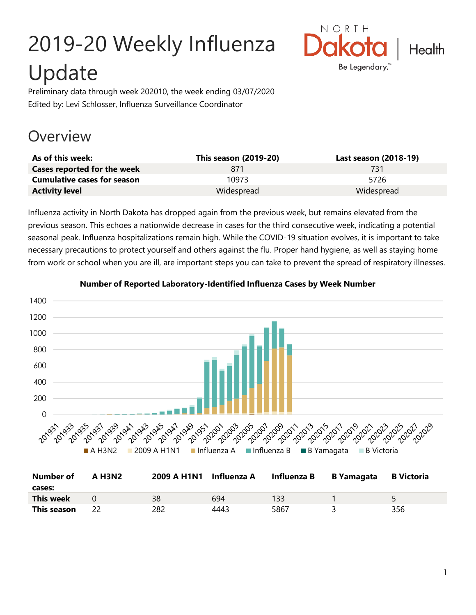# 2019-20 Weekly Influenza Update



Preliminary data through week 202010, the week ending 03/07/2020 Edited by: Levi Schlosser, Influenza Surveillance Coordinator

## **Overview**

| As of this week:                   | This season (2019-20) | Last season (2018-19) |
|------------------------------------|-----------------------|-----------------------|
| Cases reported for the week        | 871                   | 731                   |
| <b>Cumulative cases for season</b> | 10973                 | 5726                  |
| <b>Activity level</b>              | Widespread            | Widespread            |

Influenza activity in North Dakota has dropped again from the previous week, but remains elevated from the previous season. This echoes a nationwide decrease in cases for the third consecutive week, indicating a potential seasonal peak. Influenza hospitalizations remain high. While the COVID-19 situation evolves, it is important to take necessary precautions to protect yourself and others against the flu. Proper hand hygiene, as well as staying home from work or school when you are ill, are important steps you can take to prevent the spread of respiratory illnesses.



#### **Number of Reported Laboratory-Identified Influenza Cases by Week Number**

| Number of        | <b>A H3N2</b> | 2009 A H1N1 Influenza A |      | Influenza B | <b>B</b> Yamagata | <b>B</b> Victoria |
|------------------|---------------|-------------------------|------|-------------|-------------------|-------------------|
| cases:           |               |                         |      |             |                   |                   |
| <b>This week</b> |               | 38                      | 694  | 133         |                   |                   |
| This season      |               | 282                     | 4443 | 5867        |                   | 356               |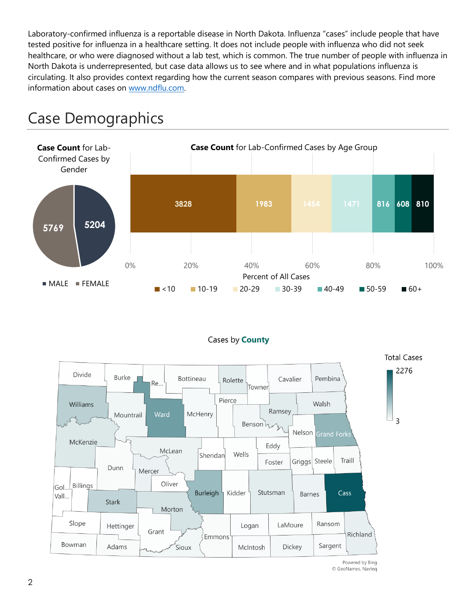Laboratory-confirmed influenza is a reportable disease in North Dakota. Influenza "cases" include people that have tested positive for influenza in a healthcare setting. It does not include people with influenza who did not seek healthcare, or who were diagnosed without a lab test, which is common. The true number of people with influenza in North Dakota is underrepresented, but case data allows us to see where and in what populations influenza is circulating. It also provides context regarding how the current season compares with previous seasons. Find more information about cases on [www.ndflu.com.](file://///nd.gov/doh/DOH-DATA/MSS/DC/PROGRAM/IMMUNE/Immunize/Influenza/Inf18-19/Surveillance/Weekly%20Summaries/www.ndflu.com)



# Case Demographics

MALE FEMALE



 $\lt 10$  10-19 20-29 30-39 40-49 50-59 60+

Powered by Bing © GeoNames, Navteq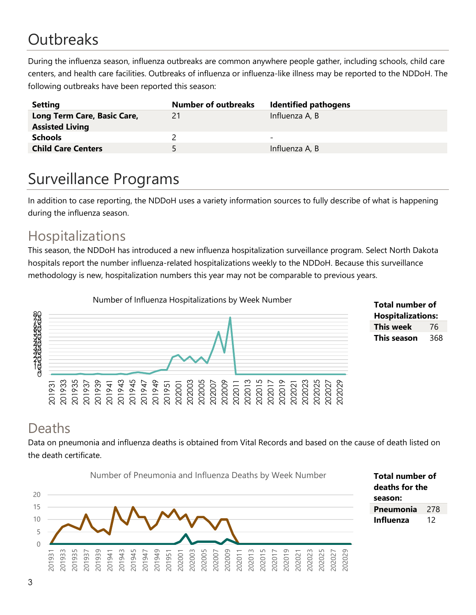# **Outbreaks**

During the influenza season, influenza outbreaks are common anywhere people gather, including schools, child care centers, and health care facilities. Outbreaks of influenza or influenza-like illness may be reported to the NDDoH. The following outbreaks have been reported this season:

| <b>Setting</b>                           | <b>Number of outbreaks</b> | <b>Identified pathogens</b> |
|------------------------------------------|----------------------------|-----------------------------|
| Long Term Care, Basic Care,              | 21                         | Influenza A, B              |
| <b>Assisted Living</b><br><b>Schools</b> |                            | $\overline{\phantom{0}}$    |
| <b>Child Care Centers</b>                | 5.                         | Influenza A, B              |

# Surveillance Programs

In addition to case reporting, the NDDoH uses a variety information sources to fully describe of what is happening during the influenza season.

#### Hospitalizations

This season, the NDDoH has introduced a new influenza hospitalization surveillance program. Select North Dakota hospitals report the number influenza-related hospitalizations weekly to the NDDoH. Because this surveillance methodology is new, hospitalization numbers this year may not be comparable to previous years.



#### **Total number of Hospitalizations: This week** 76 **This season** 368

### Deaths

Data on pneumonia and influenza deaths is obtained from Vital Records and based on the cause of death listed on the death certificate.



**Total number of deaths for the season: Pneumonia** 278 **Influenza** 12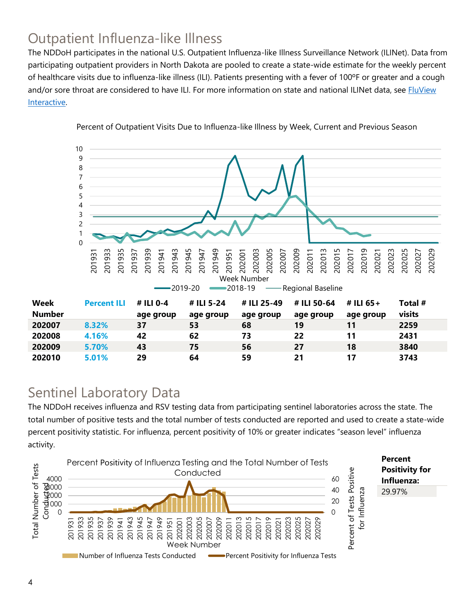### Outpatient Influenza-like Illness

The NDDoH participates in the national U.S. Outpatient Influenza-like Illness Surveillance Network (ILINet). Data from participating outpatient providers in North Dakota are pooled to create a state-wide estimate for the weekly percent of healthcare visits due to influenza-like illness (ILI). Patients presenting with a fever of 100ºF or greater and a cough and/or sore throat are considered to have ILI. For more information on state and national ILINet data, see **FluView** [Interactive.](https://gis.cdc.gov/grasp/fluview/fluportaldashboard.html)



Percent of Outpatient Visits Due to Influenza-like Illness by Week, Current and Previous Season

#### Sentinel Laboratory Data

The NDDoH receives influenza and RSV testing data from participating sentinel laboratories across the state. The total number of positive tests and the total number of tests conducted are reported and used to create a state-wide percent positivity statistic. For influenza, percent positivity of 10% or greater indicates "season level" influenza activity.

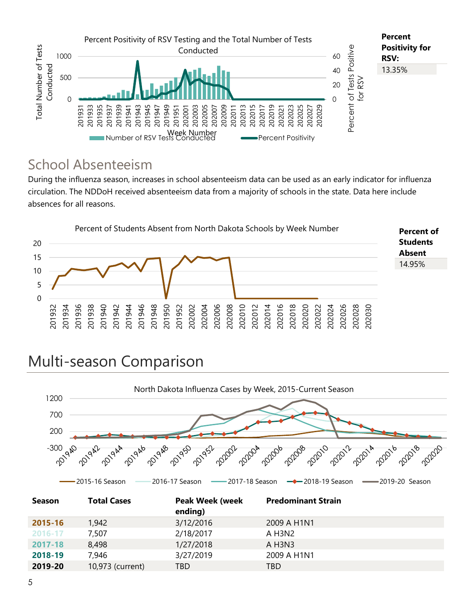

#### School Absenteeism

During the influenza season, increases in school absenteeism data can be used as an early indicator for influenza circulation. The NDDoH received absenteeism data from a majority of schools in the state. Data here include absences for all reasons.



# Multi-season Comparison